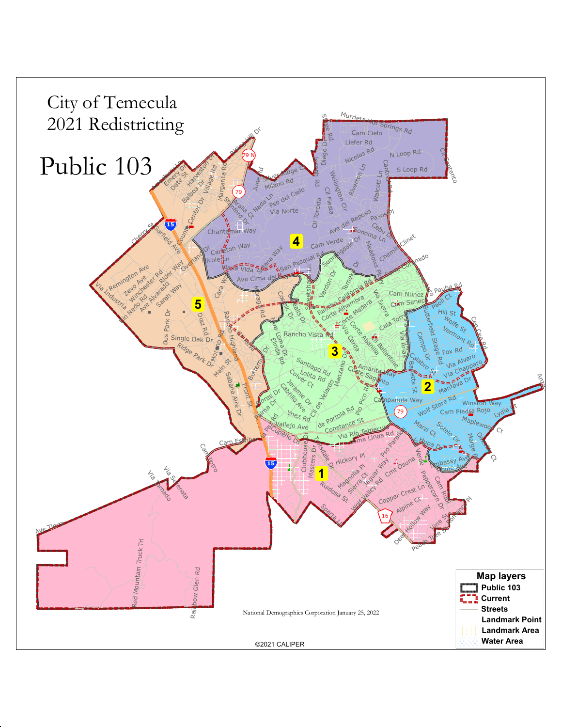